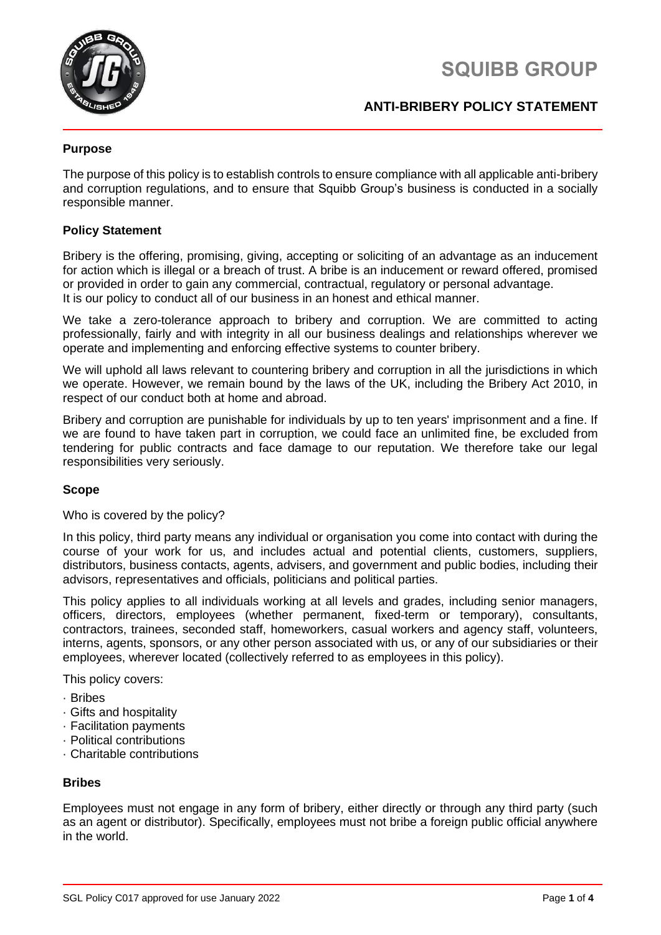

# **SQUIBB GROUP**

# **ANTI-BRIBERY POLICY STATEMENT**

## **Purpose**

The purpose of this policy is to establish controls to ensure compliance with all applicable anti-bribery and corruption regulations, and to ensure that Squibb Group's business is conducted in a socially responsible manner.

## **Policy Statement**

Bribery is the offering, promising, giving, accepting or soliciting of an advantage as an inducement for action which is illegal or a breach of trust. A bribe is an inducement or reward offered, promised or provided in order to gain any commercial, contractual, regulatory or personal advantage. It is our policy to conduct all of our business in an honest and ethical manner.

We take a zero-tolerance approach to bribery and corruption. We are committed to acting professionally, fairly and with integrity in all our business dealings and relationships wherever we operate and implementing and enforcing effective systems to counter bribery.

We will uphold all laws relevant to countering bribery and corruption in all the jurisdictions in which we operate. However, we remain bound by the laws of the UK, including the Bribery Act 2010, in respect of our conduct both at home and abroad.

Bribery and corruption are punishable for individuals by up to ten years' imprisonment and a fine. If we are found to have taken part in corruption, we could face an unlimited fine, be excluded from tendering for public contracts and face damage to our reputation. We therefore take our legal responsibilities very seriously.

## **Scope**

Who is covered by the policy?

In this policy, third party means any individual or organisation you come into contact with during the course of your work for us, and includes actual and potential clients, customers, suppliers, distributors, business contacts, agents, advisers, and government and public bodies, including their advisors, representatives and officials, politicians and political parties.

This policy applies to all individuals working at all levels and grades, including senior managers, officers, directors, employees (whether permanent, fixed-term or temporary), consultants, contractors, trainees, seconded staff, homeworkers, casual workers and agency staff, volunteers, interns, agents, sponsors, or any other person associated with us, or any of our subsidiaries or their employees, wherever located (collectively referred to as employees in this policy).

This policy covers:

- · Bribes
- · Gifts and hospitality
- · Facilitation payments
- · Political contributions
- · Charitable contributions

## **Bribes**

Employees must not engage in any form of bribery, either directly or through any third party (such as an agent or distributor). Specifically, employees must not bribe a foreign public official anywhere in the world.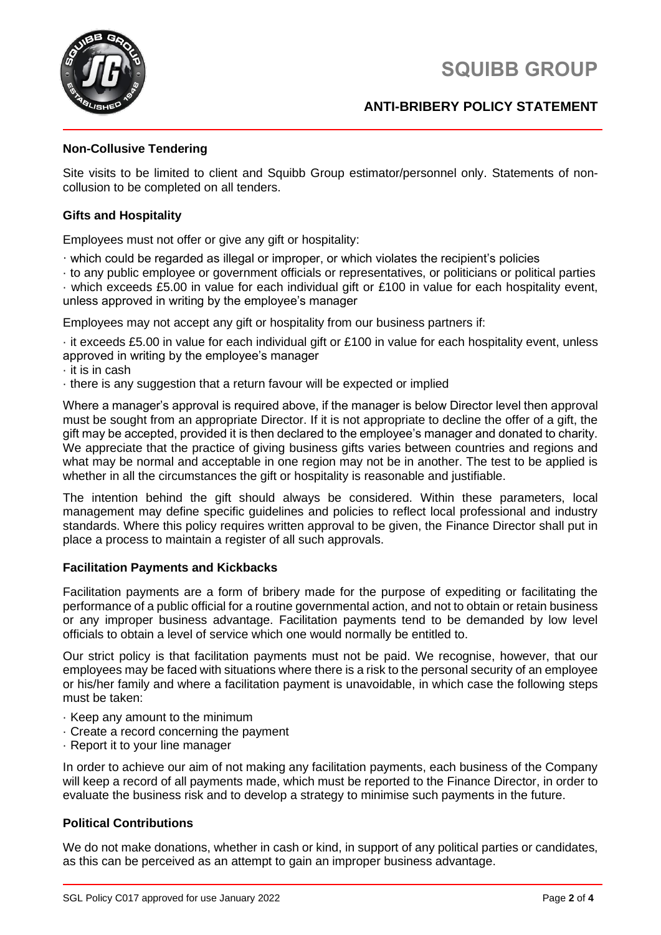# **SQUIBB GROUP**



## **ANTI-BRIBERY POLICY STATEMENT**

## **Non-Collusive Tendering**

Site visits to be limited to client and Squibb Group estimator/personnel only. Statements of noncollusion to be completed on all tenders.

## **Gifts and Hospitality**

Employees must not offer or give any gift or hospitality:

· which could be regarded as illegal or improper, or which violates the recipient's policies

· to any public employee or government officials or representatives, or politicians or political parties

· which exceeds £5.00 in value for each individual gift or £100 in value for each hospitality event, unless approved in writing by the employee's manager

Employees may not accept any gift or hospitality from our business partners if:

· it exceeds £5.00 in value for each individual gift or £100 in value for each hospitality event, unless approved in writing by the employee's manager

· it is in cash

· there is any suggestion that a return favour will be expected or implied

Where a manager's approval is required above, if the manager is below Director level then approval must be sought from an appropriate Director. If it is not appropriate to decline the offer of a gift, the gift may be accepted, provided it is then declared to the employee's manager and donated to charity. We appreciate that the practice of giving business gifts varies between countries and regions and what may be normal and acceptable in one region may not be in another. The test to be applied is whether in all the circumstances the gift or hospitality is reasonable and justifiable.

The intention behind the gift should always be considered. Within these parameters, local management may define specific guidelines and policies to reflect local professional and industry standards. Where this policy requires written approval to be given, the Finance Director shall put in place a process to maintain a register of all such approvals.

## **Facilitation Payments and Kickbacks**

Facilitation payments are a form of bribery made for the purpose of expediting or facilitating the performance of a public official for a routine governmental action, and not to obtain or retain business or any improper business advantage. Facilitation payments tend to be demanded by low level officials to obtain a level of service which one would normally be entitled to.

Our strict policy is that facilitation payments must not be paid. We recognise, however, that our employees may be faced with situations where there is a risk to the personal security of an employee or his/her family and where a facilitation payment is unavoidable, in which case the following steps must be taken:

- · Keep any amount to the minimum
- · Create a record concerning the payment
- · Report it to your line manager

In order to achieve our aim of not making any facilitation payments, each business of the Company will keep a record of all payments made, which must be reported to the Finance Director, in order to evaluate the business risk and to develop a strategy to minimise such payments in the future.

## **Political Contributions**

We do not make donations, whether in cash or kind, in support of any political parties or candidates, as this can be perceived as an attempt to gain an improper business advantage.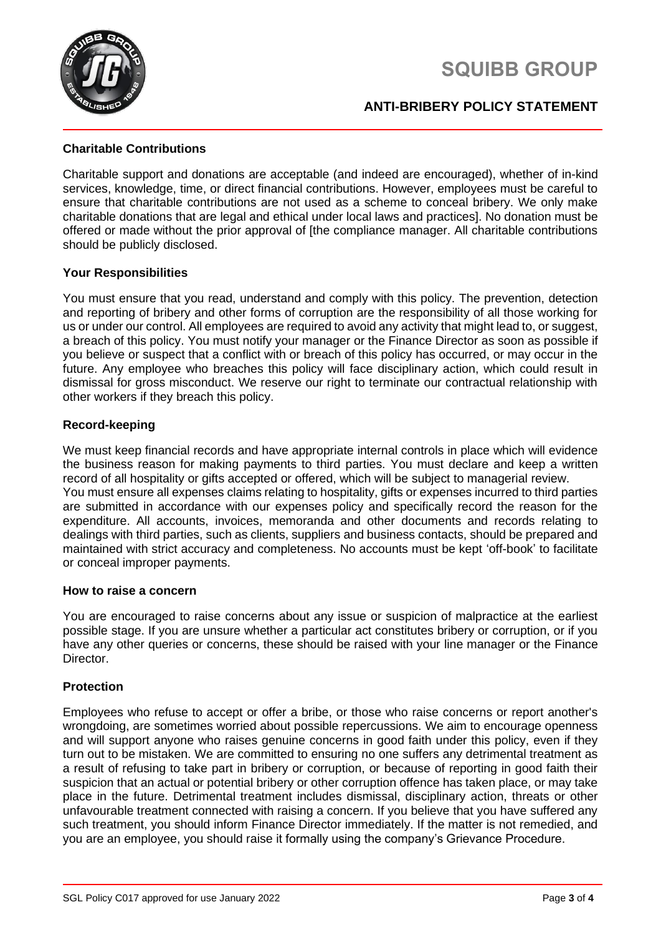



## **ANTI-BRIBERY POLICY STATEMENT**

## **Charitable Contributions**

Charitable support and donations are acceptable (and indeed are encouraged), whether of in-kind services, knowledge, time, or direct financial contributions. However, employees must be careful to ensure that charitable contributions are not used as a scheme to conceal bribery. We only make charitable donations that are legal and ethical under local laws and practices]. No donation must be offered or made without the prior approval of [the compliance manager. All charitable contributions should be publicly disclosed.

## **Your Responsibilities**

You must ensure that you read, understand and comply with this policy. The prevention, detection and reporting of bribery and other forms of corruption are the responsibility of all those working for us or under our control. All employees are required to avoid any activity that might lead to, or suggest, a breach of this policy. You must notify your manager or the Finance Director as soon as possible if you believe or suspect that a conflict with or breach of this policy has occurred, or may occur in the future. Any employee who breaches this policy will face disciplinary action, which could result in dismissal for gross misconduct. We reserve our right to terminate our contractual relationship with other workers if they breach this policy.

## **Record-keeping**

We must keep financial records and have appropriate internal controls in place which will evidence the business reason for making payments to third parties. You must declare and keep a written record of all hospitality or gifts accepted or offered, which will be subject to managerial review. You must ensure all expenses claims relating to hospitality, gifts or expenses incurred to third parties are submitted in accordance with our expenses policy and specifically record the reason for the expenditure. All accounts, invoices, memoranda and other documents and records relating to dealings with third parties, such as clients, suppliers and business contacts, should be prepared and maintained with strict accuracy and completeness. No accounts must be kept 'off-book' to facilitate or conceal improper payments.

#### **How to raise a concern**

You are encouraged to raise concerns about any issue or suspicion of malpractice at the earliest possible stage. If you are unsure whether a particular act constitutes bribery or corruption, or if you have any other queries or concerns, these should be raised with your line manager or the Finance Director.

## **Protection**

Employees who refuse to accept or offer a bribe, or those who raise concerns or report another's wrongdoing, are sometimes worried about possible repercussions. We aim to encourage openness and will support anyone who raises genuine concerns in good faith under this policy, even if they turn out to be mistaken. We are committed to ensuring no one suffers any detrimental treatment as a result of refusing to take part in bribery or corruption, or because of reporting in good faith their suspicion that an actual or potential bribery or other corruption offence has taken place, or may take place in the future. Detrimental treatment includes dismissal, disciplinary action, threats or other unfavourable treatment connected with raising a concern. If you believe that you have suffered any such treatment, you should inform Finance Director immediately. If the matter is not remedied, and you are an employee, you should raise it formally using the company's Grievance Procedure.